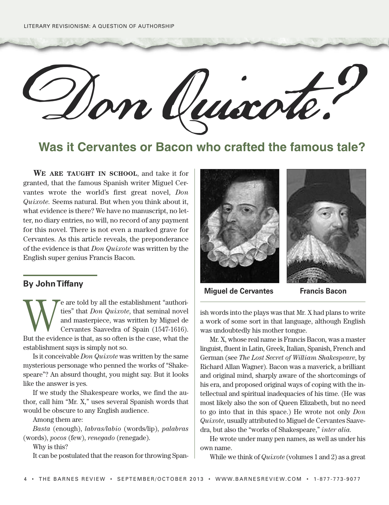Don Quixote?

**Was it Cervantes or Bacon who crafted the famous tale?**

**WE ARE TAUGHT IN SCHOOL**, and take it for granted, that the famous Spanish writer Miguel Cervantes wrote the world's first great novel, *Don Quixote.* Seems natural. But when you think about it, what evidence is there? We have no manuscript, no letter, no diary entries, no will, no record of any payment for this novel. There is not even a marked grave for Cervantes. As this article reveals, the preponderance of the evidence is that *Don Quixote* was written by the English super genius Francis Bacon.

## **By JohnTiffany**

We are told by all the establishment "authorities" that *Don Quixote*, that seminal novel and masterpiece, was written by Miguel de Cervantes Saavedra of Spain (1547-1616).<br>But the evidence is that, as so often is the case ties" that *Don Quixote*, that seminal novel and masterpiece, was written by Miguel de Cervantes Saavedra of Spain (1547-1616). But the evidence is that, as so often is the case, what the establishment says is simply not so.

Is it conceivable *Don Quixote* was written by the same mysterious personage who penned the works of "Shakespeare"? An absurd thought, you might say. But it looks like the answer is yes.

If we study the Shakespeare works, we find the author, call him "Mr. X," uses several Spanish words that would be obscure to any English audience.

Among them are:

*Basta* (enough), *labras/labio* (words/lip), *palabras* (words), *pocos* (few), *renegado* (renegade).

Why is this?

It can be postulated that the reason for throwing Span-





## **Miguel de Cervantes Francis Bacon**

ish words into the plays was that Mr. X had plans to write a work of some sort in that language, although English was undoubtedly his mother tongue.

Mr. X, whose real name is Francis Bacon, was a master linguist, fluent in Latin, Greek, Italian, Spanish, French and German (see *The Lost Secret of William Shakespeare*, by Richard Allan Wagner). Bacon was a maverick, a brilliant and original mind, sharply aware of the shortcomings of his era, and proposed original ways of coping with the intellectual and spiritual inadequacies of his time. (He was most likely also the son of Queen Elizabeth, but no need to go into that in this space.) He wrote not only *Don Quixote*, usually attributed to Miguel de Cervantes Saavedra, but also the "works of Shakespeare," *inter alia.*

He wrote under many pen names, as well as under his own name.

While we think of *Quixote* (volumes 1 and 2) as a great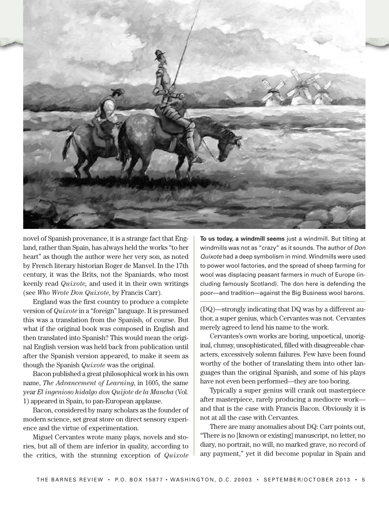

novel of Spanish provenance, it is a strange fact that England, rather than Spain, has always held the works "to her heart" as though the author were her very son, as noted by French literary historian Roger de Manvel. In the 17th century, it was the Brits, not the Spaniards, who most keenly read *Quixote,* and used it in their own writings (see *Who Wrote Don Quixote*, by Francis Carr).

England was the first country to produce a complete version of *Quixote* in a "foreign" language. It is presumed this was a translation from the Spanish, of course. But what if the original book was composed in English and then translated into Spanish? This would mean the original English version was held back from publication until after the Spanish version appeared, to make it seem as though the Spanish *Quixote* was the original.

Bacon published a great philosophical work in his own name, *The Advancement of Learning*, in 1605, the same year *El ingenioso hidalgo don Quijote de la Mancha* (Vol. 1) appeared in Spain, to pan-European applause.

Bacon, considered by many scholars as the founder of modern science, set great store on direct sensory experience and the virtue of experimentation.

Miguel Cervantes wrote many plays, novels and stories, but all of them are inferior in quality, according to the critics, with the stunning exception of *Quixote*

**To us today, a windmill seems** just a windmill. But tilting at windmills was not as "crazy" as it sounds. The author of *Don Quixote* had a deep symbolism in mind. Windmills were used to power wool factories, and the spread of sheep farming for wool was displacing peasant farmers in much of Europe (including famously Scotland). The don here is defending the poor—and tradition—against the Big Business wool barons.

(DQ)—strongly indicating that DQ was by a different author, a super genius, which Cervantes was not*.* Cervantes merely agreed to lend his name to the work.

Cervantes's own works are boring, unpoetical, unoriginal, clumsy, unsophisticated, filled with disagreeable characters, excessively solemn failures. Few have been found worthy of the bother of translating them into other languages than the original Spanish, and some of his plays have not even been performed—they are too boring.

Typically a super genius will crank out masterpiece after masterpiece, rarely producing a mediocre work and that is the case with Francis Bacon. Obviously it is not at all the case with Cervantes.

There are many anomalies about DQ: Carr points out, "There is no [known or existing] manuscript, no letter, no diary, no portrait, no will, no marked grave, no record of any payment," yet it did become popular in Spain and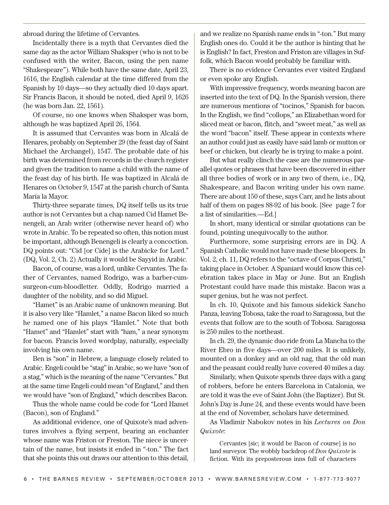abroad during the lifetime of Cervantes.

Incidentally there is a myth that Cervantes died the same day as the actor William Shaksper (who is not to be confused with the writer, Bacon, using the pen name "Shakespeare"). While both have the same date, April 23, 1616, the English calendar at the time differed from the Spanish by 10 days—so they actually died 10 days apart. Sir Francis Bacon, it should be noted, died April 9, 1626 (he was born Jan. 22, 1561).

Of course, no one knows when Shaksper was born, although he was baptized April 26, 1564.

It is assumed that Cervantes was born in Alcalá de Henares, probably on September 29 (the feast day of Saint Michael the Archangel), 1547. The probable date of his birth was determined from records in the church register and given the tradition to name a child with the name of the feast day of his birth. He was baptized in Alcalá de Henares on October 9, 1547 at the parish church of Santa María la Mayor.

Thirty-three separate times, DQ itself tells us its true author is not Cervantes but a chap named Cid Hamet Benengeli, an Arab writer (otherwise never heard of) who wrote in Arabic. To be repeated so often, this notion must be important, although Benengeli is clearly a concoction. DQ points out: "Cid [or Cide] is the Arabicke for Lord." (DQ, Vol. 2, Ch. 2) Actually it would be Sayyid in Arabic.

Bacon, of course, was a lord, unlike Cervantes. The father of Cervantes, named Rodrigo, was a barber-cumsurgeon-cum-bloodletter. Oddly, Rodrigo married a daughter of the nobility, and so did Miguel.

"Hamet" is an Arabic name of unknown meaning. But it is also very like "Hamlet," a name Bacon liked so much he named one of his plays "Hamlet." Note that both "Hamet" and "Hamlet" start with "ham," a near synonym for bacon. Francis loved wordplay, naturally, especially involving his own name.

Ben is "son" in Hebrew, a language closely related to Arabic. Engeli could be "stag"in Arabic, so we have "son of a stag," which is the meaning of the name "Cervantes." But at the same time Engeli could mean "of England," and then we would have "son of England," which describes Bacon.

Thus the whole name could be code for "Lord Hamet (Bacon), son of England."

As additional evidence, one of Quixote's mad adventures involves a flying serpent, bearing an enchanter whose name was Friston or Freston. The niece is uncertain of the name, but insists it ended in "-ton." The fact that she points this out draws our attention to this detail,

and we realize no Spanish name ends in "-ton." But many English ones do. Could it be the author is hinting that he is English? In fact, Freston and Friston are villages in Suffolk, which Bacon would probably be familiar with.

There is no evidence Cervantes ever visited England or even spoke any English.

With impressive frequency, words meaning bacon are inserted into the text of DQ. In the Spanish version, there are numerous mentions of "tocinos," Spanish for bacon. In the English, we find "collops," an Elizabethan word for sliced meat or bacon, flitch, and "sweet meat," as well as the word "bacon" itself. These appear in contexts where an author could just as easily have said lamb or mutton or beef or chicken, but clearly he is trying to make a point.

But what really clinch the case are the numerous parallel quotes or phrases that have been discovered in either all three bodies of work or in any two of them, i.e., DQ, Shakespeare, and Bacon writing under his own name. There are about 150 of these, says Carr, and he lists about half of them on pages 88-92 of his book. [See page 7 for a list of similarities.—Ed.]

In short, many identical or similar quotations can be found, pointing unequivocally to the author.

Furthermore, some surprising errors are in DQ. A Spanish Catholic would not have made these bloopers. In Vol. 2, ch. 11, DQ refers to the "octave of Corpus Christi," taking place in October. A Spaniard would know this celebration takes place in May or June. But an English Protestant could have made this mistake. Bacon was a super genius, but he was not perfect.

In ch. 10, Quixote and his famous sidekick Sancho Panza, leaving Tobosa, take the road to Saragossa, but the events that follow are to the south of Tobosa. Saragossa is 250 miles to the northeast.

In ch. 29, the dynamic duo ride from La Mancha to the River Ebro in five days—over 200 miles. It is unlikely, mounted on a donkey and an old nag, that the old man and the peasant could really have covered 40 miles a day.

Similarly, when Quixote spends three days with a gang of robbers, before he enters Barcelona in Catalonia, we are told it was the eve of Saint John (the Baptizer). But St. John's Day is June 24, and these events would have been at the end of November, scholars have determined.

As Vladimir Nabokov notes in his *Lectures on Don Quixote*:

Cervantes [sic; it would be Bacon of course] is no land surveyor. The wobbly backdrop of *Don Quixote* is fiction. With its preposterous inns full of characters